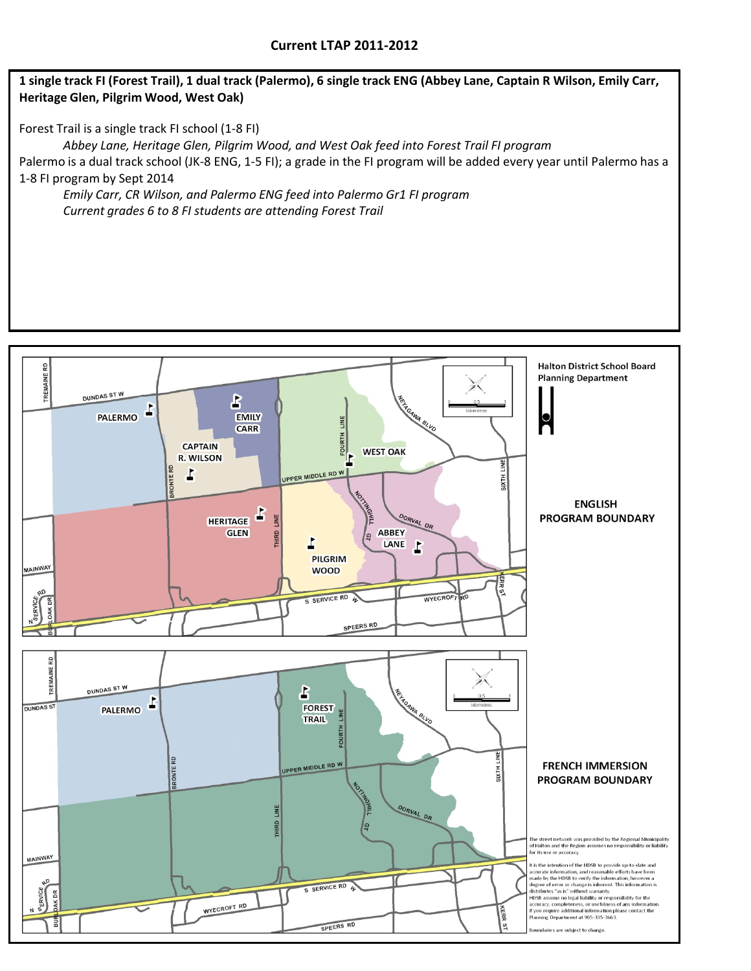## 1 single track FI (Forest Trail), 1 dual track (Palermo), 6 single track ENG (Abbey Lane, Captain R Wilson, Emily Carr, **Heritage Glen, Pilgrim Wood, West Oak)**

Forest Trail is a single track FI school (1‐8 FI)

*Abbey Lane, Heritage Glen, Pilgrim Wood, and West Oak feed into Forest Trail FI program* Palermo is a dual track school (JK-8 ENG, 1-5 FI); a grade in the FI program will be added every year until Palermo has a 1‐8 FI program by Sept 2014

*Emily Carr, CR Wilson, and Palermo ENG feed into Palermo Gr1 FI program Current grades 6 to 8 FI students are attending Forest Trail*